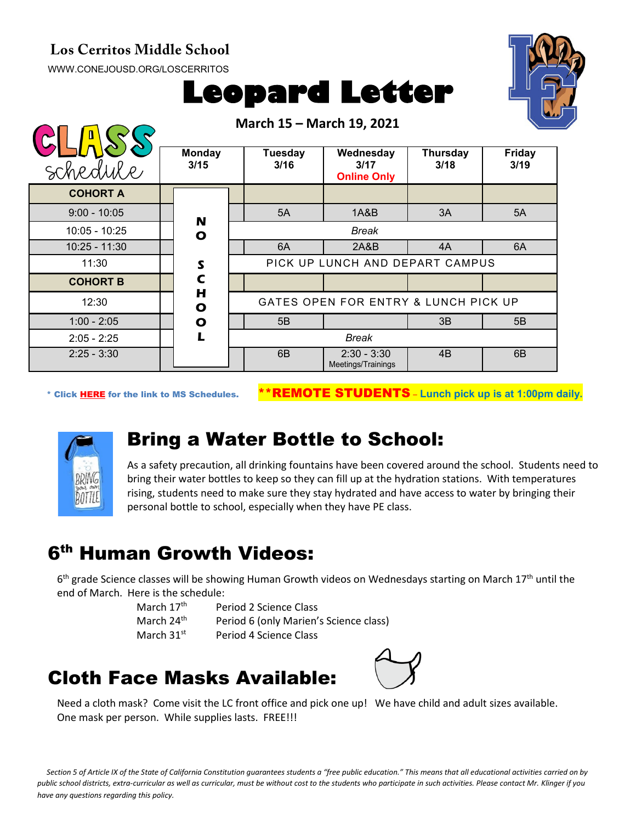#### **Los Cerritos Middle School**

[WWW.CONEJOUSD.ORG/LOSCERRITOS](http://www.conejousd.org/LOSCERRITOS)





| schedule        | <b>Monday</b><br>3/15     |                                 | Tuesday<br>3/16 | Wednesday<br>3/17<br><b>Online Only</b> | Thursday<br>3/18 | <b>Friday</b><br>3/19 |
|-----------------|---------------------------|---------------------------------|-----------------|-----------------------------------------|------------------|-----------------------|
| <b>COHORT A</b> |                           |                                 |                 |                                         |                  |                       |
| $9:00 - 10:05$  | N                         |                                 | 5A              | 1A&B                                    | 3A               | 5A                    |
| $10:05 - 10:25$ | $\mathbf{o}$              |                                 |                 | Break                                   |                  |                       |
| $10:25 - 11:30$ |                           |                                 | 6A              | 2A&B                                    | 4A               | 6A                    |
| 11:30           | $\boldsymbol{\mathsf{s}}$ | PICK UP LUNCH AND DEPART CAMPUS |                 |                                         |                  |                       |
| <b>COHORT B</b> | $\mathsf{C}$              |                                 |                 |                                         |                  |                       |
| 12:30           | H<br>O                    |                                 |                 | GATES OPEN FOR ENTRY & LUNCH PICK UP    |                  |                       |
| $1:00 - 2:05$   | $\mathbf{o}$              |                                 | 5B              |                                         | 3B               | 5B                    |
| $2:05 - 2:25$   | L                         | <b>Break</b>                    |                 |                                         |                  |                       |
| $2:25 - 3:30$   |                           |                                 | 6B              | $2:30 - 3:30$<br>Meetings/Trainings     | 4B               | 6B                    |

**March 15 – March 19, 2021**

\* Click [HERE](https://www.conejousd.org/Portals/0/Middle%20School%20Monthly%20Calendar%20_FNLl.pdf?ver=2020-11-04-105638-860) for the link to MS Schedules. \*\*REMOTE STUDENTS – **Lunch pick up is at 1:00pm daily.**



### Bring a Water Bottle to School:

As a safety precaution, all drinking fountains have been covered around the school. Students need to bring their water bottles to keep so they can fill up at the hydration stations. With temperatures rising, students need to make sure they stay hydrated and have access to water by bringing their personal bottle to school, especially when they have PE class.

# 6th Human Growth Videos:

 $6<sup>th</sup>$  grade Science classes will be showing Human Growth videos on Wednesdays starting on March 17<sup>th</sup> until the end of March. Here is the schedule:

| March 17 <sup>th</sup> | Period 2 Science Class                 |
|------------------------|----------------------------------------|
| March 24 <sup>th</sup> | Period 6 (only Marien's Science class) |
| March $31st$           | Period 4 Science Class                 |

## Cloth Face Masks Available:



Need a cloth mask? Come visit the LC front office and pick one up! We have child and adult sizes available. One mask per person. While supplies lasts. FREE!!!

*Section 5 of Article IX of the State of California Constitution guarantees students a "free public education." This means that all educational activities carried on by public school districts, extra-curricular as well as curricular, must be without cost to the students who participate in such activities. Please contact Mr. Klinger if you have any questions regarding this policy.*